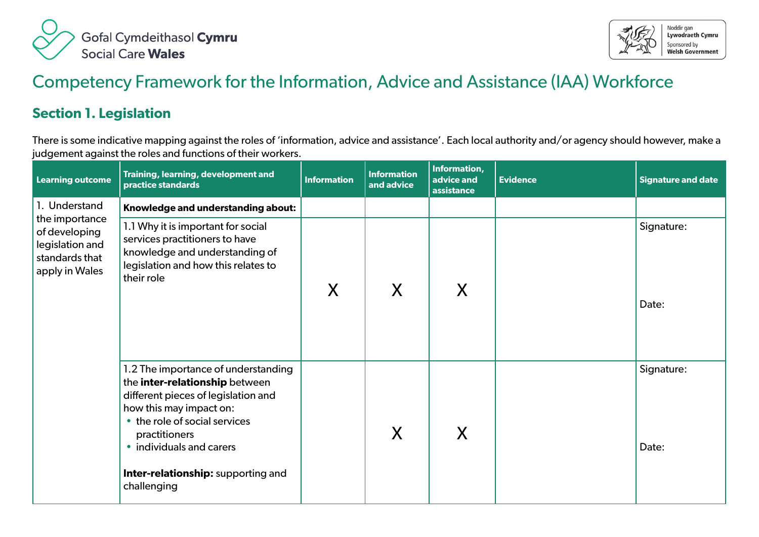



## Competency Framework for the Information, Advice and Assistance (IAA) Workforce

## **Section 1. Legislation**

There is some indicative mapping against the roles of 'information, advice and assistance'. Each local authority and/or agency should however, make a judgement against the roles and functions of their workers.

| <b>Learning outcome</b>                                                                | Training, learning, development and<br>practice standards                                                                                                                                                                                                                  | <b>Information</b> | <b>Information</b><br>and advice | Information,<br>advice and<br>assistance | <b>Evidence</b> | <b>Signature and date</b> |
|----------------------------------------------------------------------------------------|----------------------------------------------------------------------------------------------------------------------------------------------------------------------------------------------------------------------------------------------------------------------------|--------------------|----------------------------------|------------------------------------------|-----------------|---------------------------|
| 1. Understand                                                                          | Knowledge and understanding about:                                                                                                                                                                                                                                         |                    |                                  |                                          |                 |                           |
| the importance<br>of developing<br>legislation and<br>standards that<br>apply in Wales | 1.1 Why it is important for social<br>services practitioners to have<br>knowledge and understanding of<br>legislation and how this relates to<br>their role                                                                                                                | X                  | X                                | X                                        |                 | Signature:<br>Date:       |
|                                                                                        | 1.2 The importance of understanding<br>the inter-relationship between<br>different pieces of legislation and<br>how this may impact on:<br>• the role of social services<br>practitioners<br>• individuals and carers<br>Inter-relationship: supporting and<br>challenging |                    | X                                | X                                        |                 | Signature:<br>Date:       |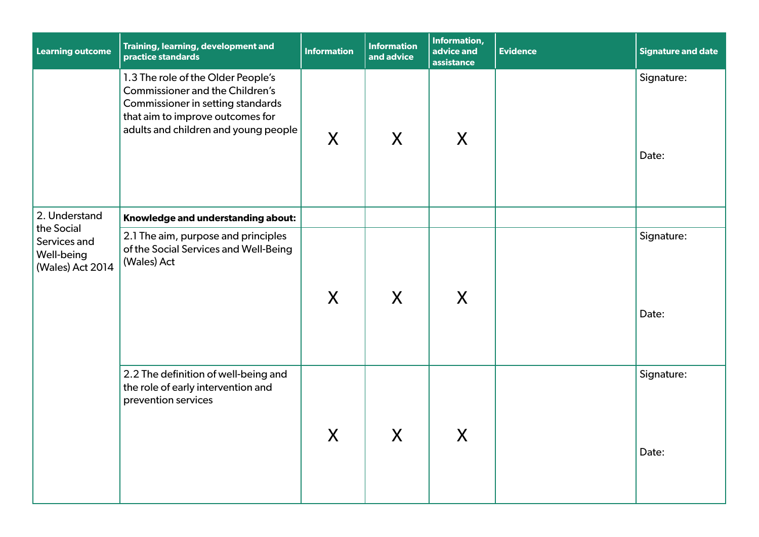| <b>Learning outcome</b>                                      | Training, learning, development and<br>practice standards                                                                                                                                     | <b>Information</b> | <b>Information</b><br>and advice | Information,<br>advice and<br>assistance | <b>Evidence</b> | <b>Signature and date</b> |
|--------------------------------------------------------------|-----------------------------------------------------------------------------------------------------------------------------------------------------------------------------------------------|--------------------|----------------------------------|------------------------------------------|-----------------|---------------------------|
|                                                              | 1.3 The role of the Older People's<br><b>Commissioner and the Children's</b><br>Commissioner in setting standards<br>that aim to improve outcomes for<br>adults and children and young people | X                  | X                                | X                                        |                 | Signature:<br>Date:       |
| 2. Understand                                                | Knowledge and understanding about:                                                                                                                                                            |                    |                                  |                                          |                 |                           |
| the Social<br>Services and<br>Well-being<br>(Wales) Act 2014 | 2.1 The aim, purpose and principles<br>of the Social Services and Well-Being<br>(Wales) Act                                                                                                   | X                  | X                                | X                                        |                 | Signature:<br>Date:       |
|                                                              | 2.2 The definition of well-being and<br>the role of early intervention and<br>prevention services                                                                                             | X                  | $\boldsymbol{X}$                 | X                                        |                 | Signature:<br>Date:       |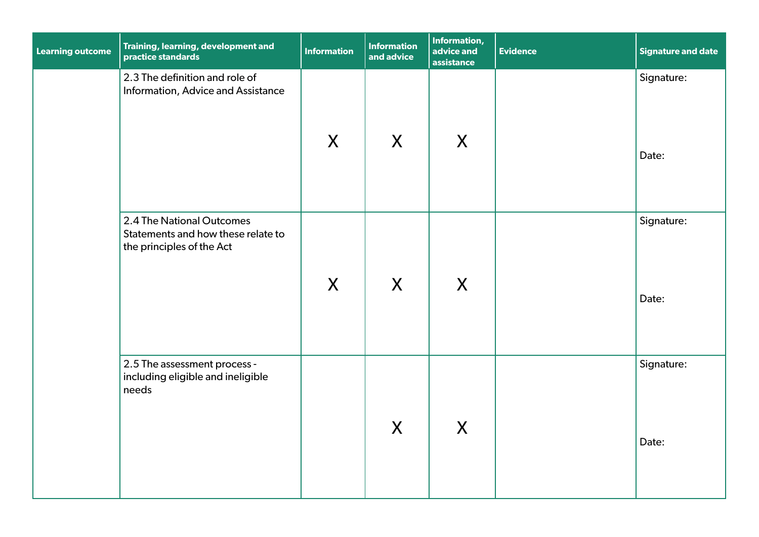| <b>Learning outcome</b> | Training, learning, development and<br>practice standards                                    | Information | <b>Information</b><br>and advice | Information,<br>advice and<br>assistance | <b>Evidence</b> | <b>Signature and date</b> |
|-------------------------|----------------------------------------------------------------------------------------------|-------------|----------------------------------|------------------------------------------|-----------------|---------------------------|
|                         | 2.3 The definition and role of<br>Information, Advice and Assistance                         | X           | X                                | X                                        |                 | Signature:<br>Date:       |
|                         | 2.4 The National Outcomes<br>Statements and how these relate to<br>the principles of the Act | X           | X                                | X                                        |                 | Signature:<br>Date:       |
|                         | 2.5 The assessment process -<br>including eligible and ineligible<br>needs                   |             | $\mathsf{X}$                     | X                                        |                 | Signature:<br>Date:       |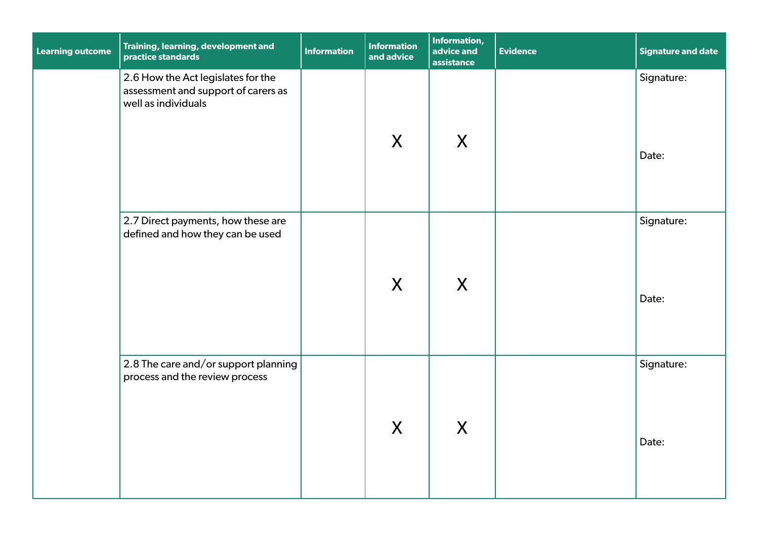| <b>Learning outcome</b> | Training, learning, development and<br>practice standards                                        | <b>Information</b> | <b>Information</b><br>and advice | Information,<br>advice and<br>assistance | <b>Evidence</b> | <b>Signature and date</b> |
|-------------------------|--------------------------------------------------------------------------------------------------|--------------------|----------------------------------|------------------------------------------|-----------------|---------------------------|
|                         | 2.6 How the Act legislates for the<br>assessment and support of carers as<br>well as individuals |                    | X                                | X                                        |                 | Signature:<br>Date:       |
|                         | 2.7 Direct payments, how these are<br>defined and how they can be used                           |                    | X                                | X                                        |                 | Signature:<br>Date:       |
|                         | 2.8 The care and/or support planning<br>process and the review process                           |                    | X                                | X                                        |                 | Signature:<br>Date:       |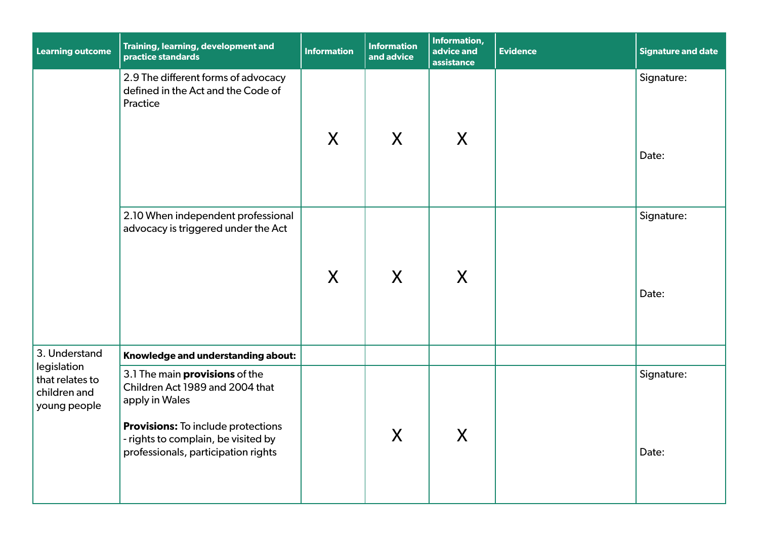| <b>Learning outcome</b>                                        | Training, learning, development and<br>practice standards                                                                                                                                                             | <b>Information</b> | <b>Information</b><br>and advice | <b>Information,</b><br>advice and<br>assistance | <b>Evidence</b> | <b>Signature and date</b> |
|----------------------------------------------------------------|-----------------------------------------------------------------------------------------------------------------------------------------------------------------------------------------------------------------------|--------------------|----------------------------------|-------------------------------------------------|-----------------|---------------------------|
|                                                                | 2.9 The different forms of advocacy<br>defined in the Act and the Code of<br>Practice                                                                                                                                 | X                  | $\sf X$                          | X                                               |                 | Signature:<br>Date:       |
|                                                                | 2.10 When independent professional<br>advocacy is triggered under the Act                                                                                                                                             | X                  | $\sf X$                          | X                                               |                 | Signature:<br>Date:       |
| 3. Understand                                                  | Knowledge and understanding about:                                                                                                                                                                                    |                    |                                  |                                                 |                 |                           |
| legislation<br>that relates to<br>children and<br>young people | 3.1 The main <b>provisions</b> of the<br>Children Act 1989 and 2004 that<br>apply in Wales<br><b>Provisions:</b> To include protections<br>- rights to complain, be visited by<br>professionals, participation rights |                    | $\boldsymbol{X}$                 | X                                               |                 | Signature:<br>Date:       |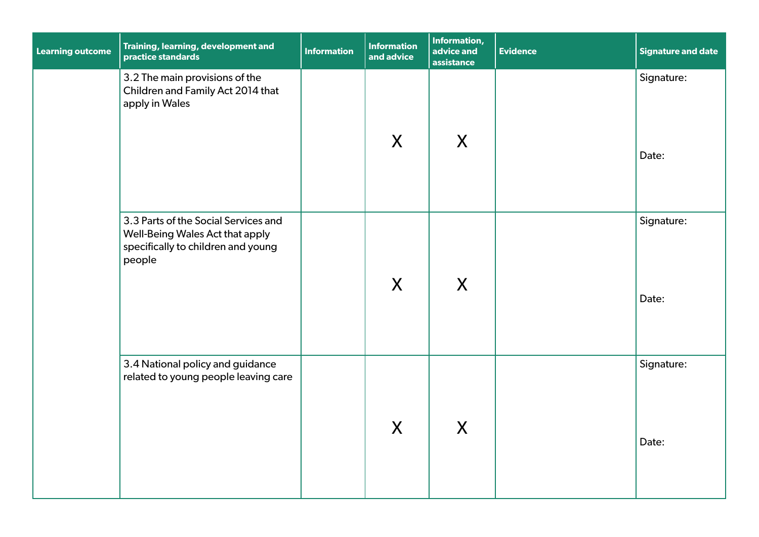| <b>Learning outcome</b> | Training, learning, development and<br>practice standards                                                               | <b>Information</b> | <b>Information</b><br>and advice | Information,<br>advice and<br>assistance | <b>Evidence</b> | <b>Signature and date</b> |
|-------------------------|-------------------------------------------------------------------------------------------------------------------------|--------------------|----------------------------------|------------------------------------------|-----------------|---------------------------|
|                         | 3.2 The main provisions of the<br>Children and Family Act 2014 that<br>apply in Wales                                   |                    | X                                | X                                        |                 | Signature:<br>Date:       |
|                         | 3.3 Parts of the Social Services and<br>Well-Being Wales Act that apply<br>specifically to children and young<br>people |                    | X                                | X                                        |                 | Signature:<br>Date:       |
|                         | 3.4 National policy and guidance<br>related to young people leaving care                                                |                    | X                                | X                                        |                 | Signature:<br>Date:       |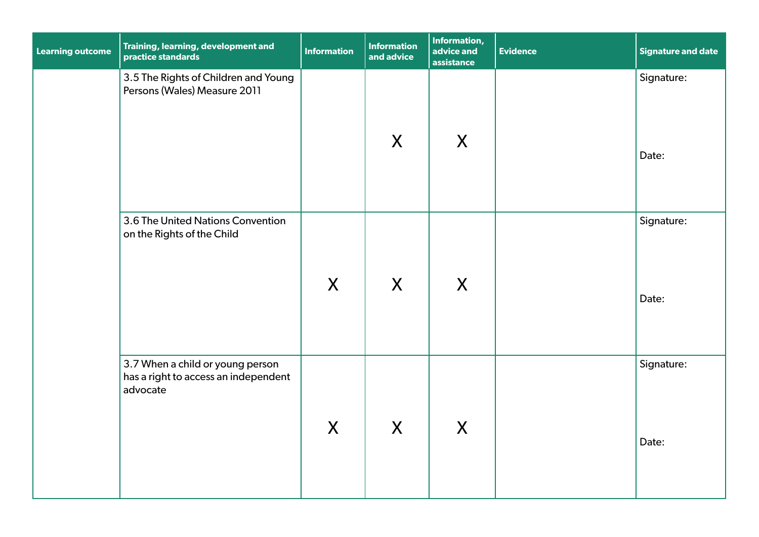| <b>Learning outcome</b> | Training, learning, development and<br>practice standards                            | <b>Information</b> | <b>Information</b><br>and advice | Information,<br>advice and<br>assistance | <b>Evidence</b> | <b>Signature and date</b> |
|-------------------------|--------------------------------------------------------------------------------------|--------------------|----------------------------------|------------------------------------------|-----------------|---------------------------|
|                         | 3.5 The Rights of Children and Young<br>Persons (Wales) Measure 2011                 |                    | X                                | X                                        |                 | Signature:<br>Date:       |
|                         | 3.6 The United Nations Convention<br>on the Rights of the Child                      | X                  | X                                | X                                        |                 | Signature:<br>Date:       |
|                         | 3.7 When a child or young person<br>has a right to access an independent<br>advocate | X                  | X                                | X                                        |                 | Signature:<br>Date:       |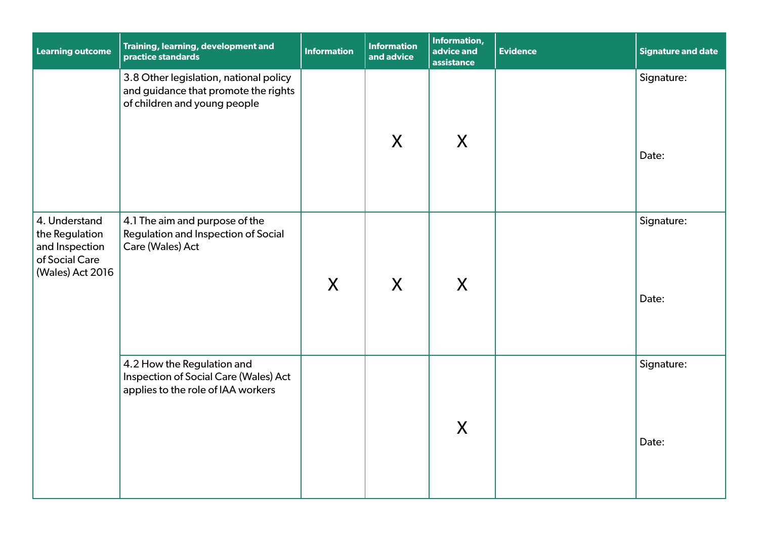| <b>Learning outcome</b>                                                                 | Training, learning, development and<br>practice standards                                                      | <b>Information</b> | <b>Information</b><br>and advice | Information,<br>advice and<br>assistance | <b>Evidence</b> | <b>Signature and date</b> |
|-----------------------------------------------------------------------------------------|----------------------------------------------------------------------------------------------------------------|--------------------|----------------------------------|------------------------------------------|-----------------|---------------------------|
|                                                                                         | 3.8 Other legislation, national policy<br>and guidance that promote the rights<br>of children and young people |                    | $\mathsf{X}$                     | $\sf X$                                  |                 | Signature:<br>Date:       |
| 4. Understand<br>the Regulation<br>and Inspection<br>of Social Care<br>(Wales) Act 2016 | 4.1 The aim and purpose of the<br>Regulation and Inspection of Social<br>Care (Wales) Act                      | X                  | X                                | X                                        |                 | Signature:<br>Date:       |
|                                                                                         | 4.2 How the Regulation and<br>Inspection of Social Care (Wales) Act<br>applies to the role of IAA workers      |                    |                                  | X                                        |                 | Signature:<br>Date:       |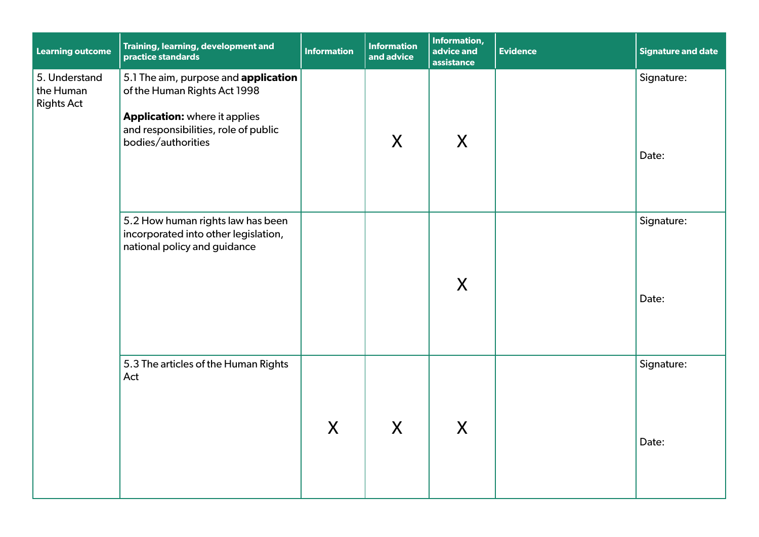| <b>Learning outcome</b>                         | Training, learning, development and<br>practice standards                                                                                                                  | <b>Information</b> | <b>Information</b><br>and advice | Information,<br>advice and<br>assistance | <b>Evidence</b> | <b>Signature and date</b> |
|-------------------------------------------------|----------------------------------------------------------------------------------------------------------------------------------------------------------------------------|--------------------|----------------------------------|------------------------------------------|-----------------|---------------------------|
| 5. Understand<br>the Human<br><b>Rights Act</b> | 5.1 The aim, purpose and application<br>of the Human Rights Act 1998<br><b>Application:</b> where it applies<br>and responsibilities, role of public<br>bodies/authorities |                    | X                                | X                                        |                 | Signature:<br>Date:       |
|                                                 | 5.2 How human rights law has been<br>incorporated into other legislation,<br>national policy and guidance                                                                  |                    |                                  | X                                        |                 | Signature:<br>Date:       |
|                                                 | 5.3 The articles of the Human Rights<br>Act                                                                                                                                | X                  | X                                | X                                        |                 | Signature:<br>Date:       |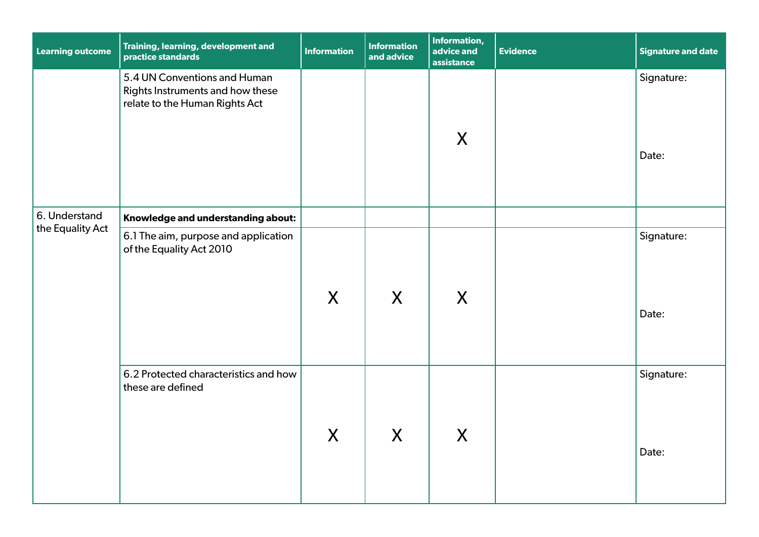| <b>Learning outcome</b> | Training, learning, development and<br>practice standards                                          | <b>Information</b> | <b>Information</b><br>and advice | Information,<br>advice and<br>assistance | <b>Evidence</b> | <b>Signature and date</b> |
|-------------------------|----------------------------------------------------------------------------------------------------|--------------------|----------------------------------|------------------------------------------|-----------------|---------------------------|
|                         | 5.4 UN Conventions and Human<br>Rights Instruments and how these<br>relate to the Human Rights Act |                    |                                  | X                                        |                 | Signature:<br>Date:       |
| 6. Understand           | Knowledge and understanding about:                                                                 |                    |                                  |                                          |                 |                           |
| the Equality Act        | 6.1 The aim, purpose and application<br>of the Equality Act 2010                                   | X                  | X                                | X                                        |                 | Signature:<br>Date:       |
|                         | 6.2 Protected characteristics and how<br>these are defined                                         | $\sf X$            | X                                | $\boldsymbol{X}$                         |                 | Signature:<br>Date:       |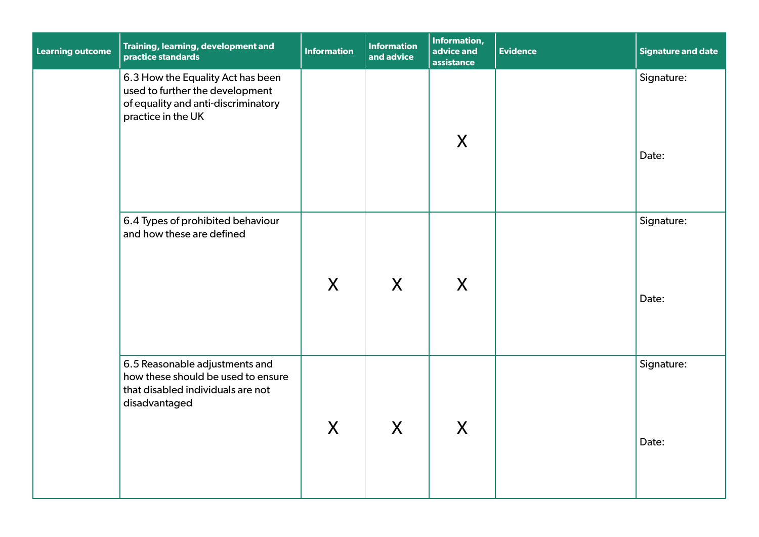| <b>Learning outcome</b> | Training, learning, development and<br>practice standards                                                                         | <b>Information</b> | <b>Information</b><br>and advice | <b>Information,</b><br>advice and<br>assistance | <b>Evidence</b> | <b>Signature and date</b> |
|-------------------------|-----------------------------------------------------------------------------------------------------------------------------------|--------------------|----------------------------------|-------------------------------------------------|-----------------|---------------------------|
|                         | 6.3 How the Equality Act has been<br>used to further the development<br>of equality and anti-discriminatory<br>practice in the UK |                    |                                  | X                                               |                 | Signature:<br>Date:       |
|                         | 6.4 Types of prohibited behaviour<br>and how these are defined                                                                    | X                  | X                                | X                                               |                 | Signature:<br>Date:       |
|                         | 6.5 Reasonable adjustments and<br>how these should be used to ensure<br>that disabled individuals are not<br>disadvantaged        | $\mathsf{X}$       | X                                | X                                               |                 | Signature:<br>Date:       |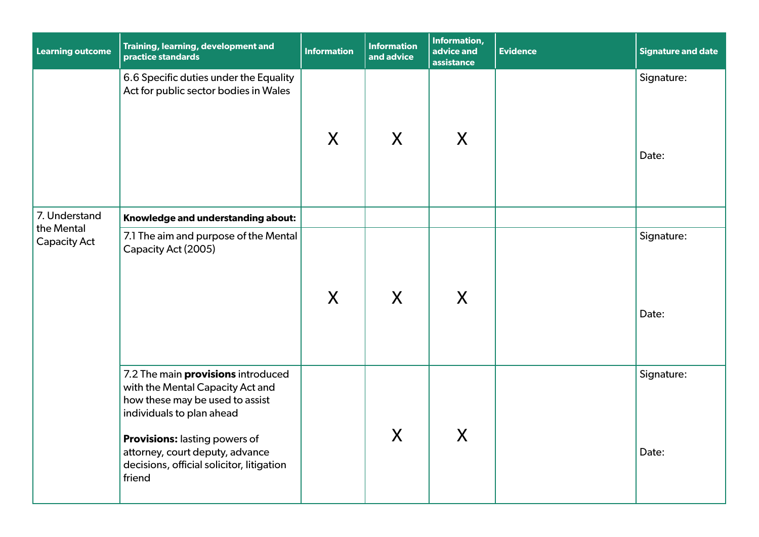| <b>Learning outcome</b>           | Training, learning, development and<br>practice standards                                                                                                                                                                                                                | <b>Information</b> | <b>Information</b><br>and advice | Information,<br>advice and<br>assistance | <b>Evidence</b> | <b>Signature and date</b> |
|-----------------------------------|--------------------------------------------------------------------------------------------------------------------------------------------------------------------------------------------------------------------------------------------------------------------------|--------------------|----------------------------------|------------------------------------------|-----------------|---------------------------|
|                                   | 6.6 Specific duties under the Equality<br>Act for public sector bodies in Wales                                                                                                                                                                                          | X                  | $\sf X$                          | X                                        |                 | Signature:<br>Date:       |
| 7. Understand                     | Knowledge and understanding about:                                                                                                                                                                                                                                       |                    |                                  |                                          |                 |                           |
| the Mental<br><b>Capacity Act</b> | 7.1 The aim and purpose of the Mental<br>Capacity Act (2005)                                                                                                                                                                                                             | X                  | $\mathsf{X}$                     | X                                        |                 | Signature:<br>Date:       |
|                                   | 7.2 The main <b>provisions</b> introduced<br>with the Mental Capacity Act and<br>how these may be used to assist<br>individuals to plan ahead<br>Provisions: lasting powers of<br>attorney, court deputy, advance<br>decisions, official solicitor, litigation<br>friend |                    | $\mathsf{X}% _{0}$               | $\boldsymbol{X}$                         |                 | Signature:<br>Date:       |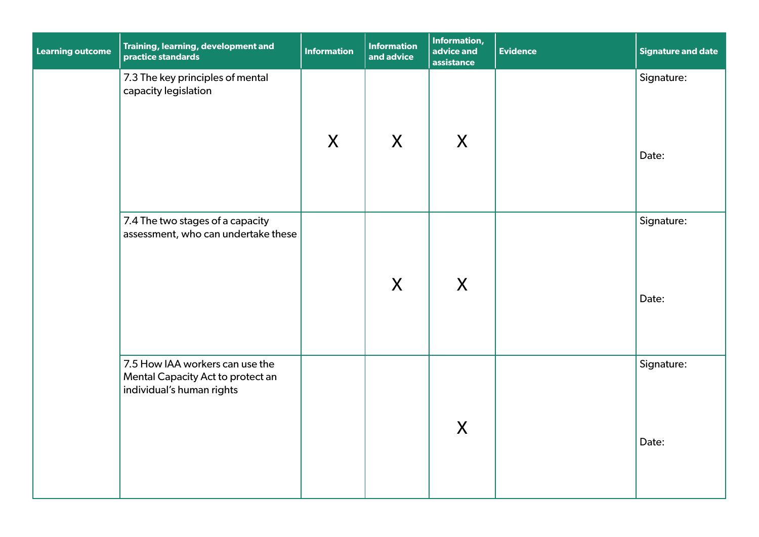| <b>Learning outcome</b> | Training, learning, development and<br>practice standards                                         | <b>Information</b> | <b>Information</b><br>and advice | Information,<br>advice and<br>assistance | <b>Evidence</b> | <b>Signature and date</b> |
|-------------------------|---------------------------------------------------------------------------------------------------|--------------------|----------------------------------|------------------------------------------|-----------------|---------------------------|
|                         | 7.3 The key principles of mental<br>capacity legislation                                          | X                  | X                                | X                                        |                 | Signature:<br>Date:       |
|                         | 7.4 The two stages of a capacity<br>assessment, who can undertake these                           |                    | X                                | X                                        |                 | Signature:<br>Date:       |
|                         | 7.5 How IAA workers can use the<br>Mental Capacity Act to protect an<br>individual's human rights |                    |                                  | X                                        |                 | Signature:<br>Date:       |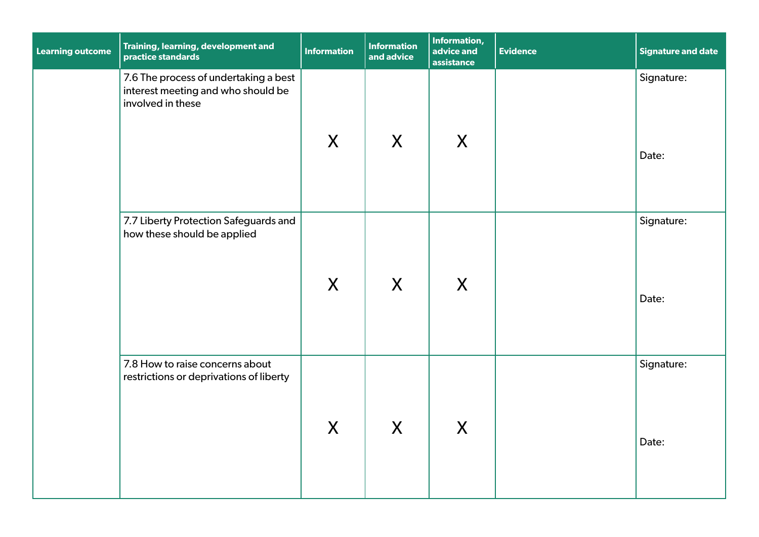| <b>Learning outcome</b> | Training, learning, development and<br>practice standards                                        | <b>Information</b> | <b>Information</b><br>and advice | Information,<br>advice and<br>assistance | <b>Evidence</b> | <b>Signature and date</b> |
|-------------------------|--------------------------------------------------------------------------------------------------|--------------------|----------------------------------|------------------------------------------|-----------------|---------------------------|
|                         | 7.6 The process of undertaking a best<br>interest meeting and who should be<br>involved in these | X                  | X                                | X                                        |                 | Signature:<br>Date:       |
|                         | 7.7 Liberty Protection Safeguards and<br>how these should be applied                             | X                  | X                                | X                                        |                 | Signature:<br>Date:       |
|                         | 7.8 How to raise concerns about<br>restrictions or deprivations of liberty                       | X                  | X                                | X                                        |                 | Signature:<br>Date:       |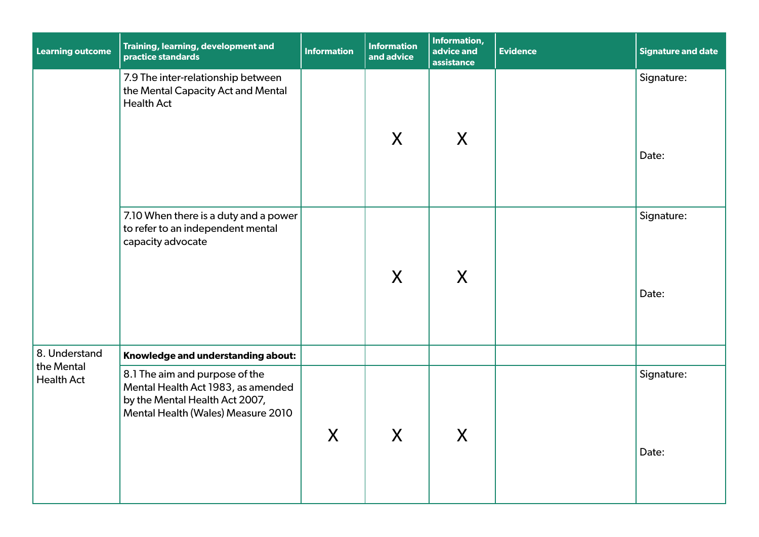| <b>Learning outcome</b>         | Training, learning, development and<br>practice standards                                                                                    | <b>Information</b> | <b>Information</b><br>and advice | Information,<br>advice and<br>assistance | <b>Evidence</b> | <b>Signature and date</b> |
|---------------------------------|----------------------------------------------------------------------------------------------------------------------------------------------|--------------------|----------------------------------|------------------------------------------|-----------------|---------------------------|
|                                 | 7.9 The inter-relationship between<br>the Mental Capacity Act and Mental<br><b>Health Act</b>                                                |                    | X                                | $\sf X$                                  |                 | Signature:<br>Date:       |
|                                 | 7.10 When there is a duty and a power<br>to refer to an independent mental<br>capacity advocate                                              |                    | X                                | $\sf X$                                  |                 | Signature:<br>Date:       |
| 8. Understand                   | Knowledge and understanding about:                                                                                                           |                    |                                  |                                          |                 |                           |
| the Mental<br><b>Health Act</b> | 8.1 The aim and purpose of the<br>Mental Health Act 1983, as amended<br>by the Mental Health Act 2007,<br>Mental Health (Wales) Measure 2010 | X                  | $\mathsf{X}$                     | $\sf X$                                  |                 | Signature:<br>Date:       |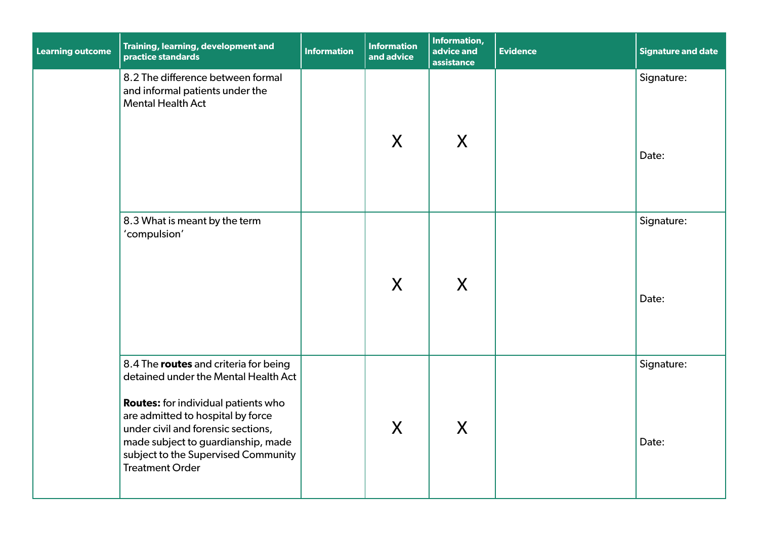| <b>Learning outcome</b> | Training, learning, development and<br>practice standards                                                                                                                                                                                                                                                     | <b>Information</b> | <b>Information</b><br>and advice | Information,<br>advice and<br>assistance | <b>Evidence</b> | <b>Signature and date</b> |
|-------------------------|---------------------------------------------------------------------------------------------------------------------------------------------------------------------------------------------------------------------------------------------------------------------------------------------------------------|--------------------|----------------------------------|------------------------------------------|-----------------|---------------------------|
|                         | 8.2 The difference between formal<br>and informal patients under the<br><b>Mental Health Act</b>                                                                                                                                                                                                              |                    | X                                | X                                        |                 | Signature:<br>Date:       |
|                         | 8.3 What is meant by the term<br>'compulsion'                                                                                                                                                                                                                                                                 |                    | X                                | X                                        |                 | Signature:<br>Date:       |
|                         | 8.4 The routes and criteria for being<br>detained under the Mental Health Act<br><b>Routes:</b> for individual patients who<br>are admitted to hospital by force<br>under civil and forensic sections,<br>made subject to guardianship, made<br>subject to the Supervised Community<br><b>Treatment Order</b> |                    | X                                | X                                        |                 | Signature:<br>Date:       |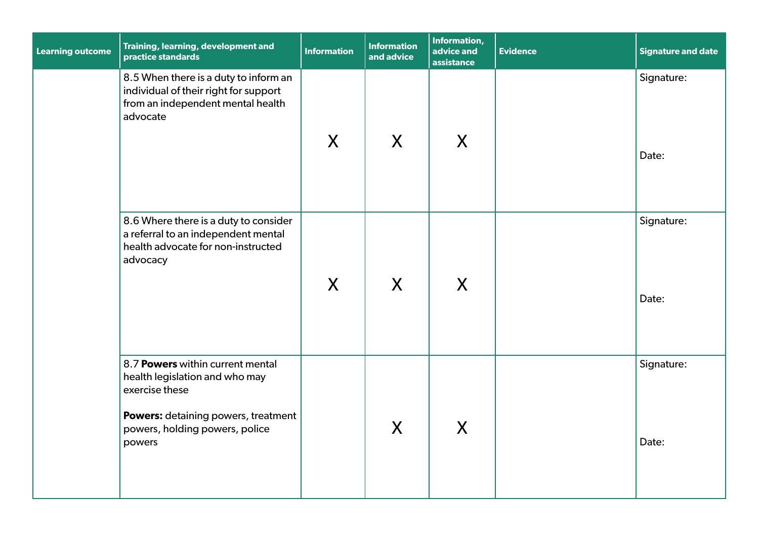| <b>Learning outcome</b> | Training, learning, development and<br>practice standards                                                                                                               | <b>Information</b> | <b>Information</b><br>and advice | Information,<br>advice and<br>assistance | <b>Evidence</b> | <b>Signature and date</b> |
|-------------------------|-------------------------------------------------------------------------------------------------------------------------------------------------------------------------|--------------------|----------------------------------|------------------------------------------|-----------------|---------------------------|
|                         | 8.5 When there is a duty to inform an<br>individual of their right for support<br>from an independent mental health<br>advocate                                         | $\sf X$            | X                                | X                                        |                 | Signature:<br>Date:       |
|                         | 8.6 Where there is a duty to consider<br>a referral to an independent mental<br>health advocate for non-instructed<br>advocacy                                          | $\boldsymbol{X}$   | X                                | X                                        |                 | Signature:<br>Date:       |
|                         | 8.7 Powers within current mental<br>health legislation and who may<br>exercise these<br>Powers: detaining powers, treatment<br>powers, holding powers, police<br>powers |                    | $\mathsf{X}$                     | X                                        |                 | Signature:<br>Date:       |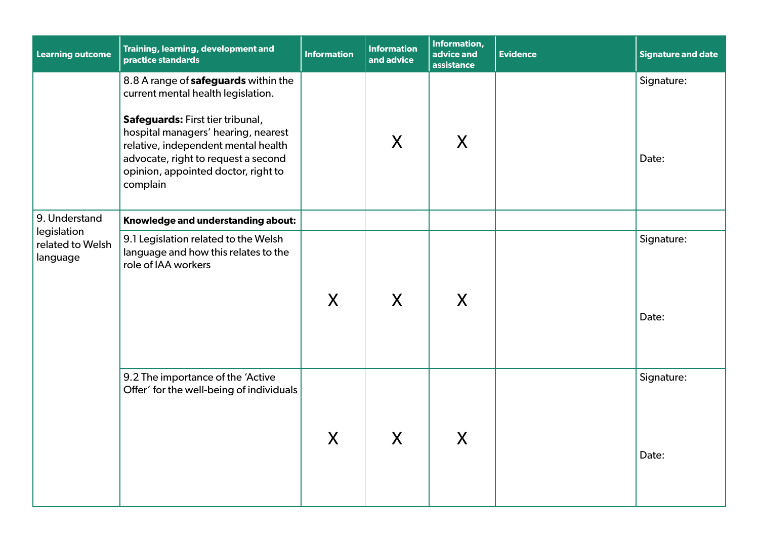| <b>Learning outcome</b>                     | Training, learning, development and<br>practice standards                                                                                                                                                | <b>Information</b> | <b>Information</b><br>and advice      | Information,<br>advice and<br>assistance | <b>Evidence</b> | <b>Signature and date</b> |
|---------------------------------------------|----------------------------------------------------------------------------------------------------------------------------------------------------------------------------------------------------------|--------------------|---------------------------------------|------------------------------------------|-----------------|---------------------------|
|                                             | 8.8 A range of safeguards within the<br>current mental health legislation.                                                                                                                               |                    |                                       |                                          |                 | Signature:                |
|                                             | Safeguards: First tier tribunal,<br>hospital managers' hearing, nearest<br>relative, independent mental health<br>advocate, right to request a second<br>opinion, appointed doctor, right to<br>complain |                    | X                                     | X                                        |                 | Date:                     |
| 9. Understand                               | Knowledge and understanding about:                                                                                                                                                                       |                    |                                       |                                          |                 |                           |
| legislation<br>related to Welsh<br>language | 9.1 Legislation related to the Welsh<br>language and how this relates to the<br>role of IAA workers                                                                                                      | X                  | X                                     | X                                        |                 | Signature:<br>Date:       |
|                                             | 9.2 The importance of the 'Active<br>Offer' for the well-being of individuals                                                                                                                            | X                  | $\mathbf v$<br>$\boldsymbol{\lambda}$ | V<br>$\boldsymbol{\lambda}$              |                 | Signature:<br>Date:       |